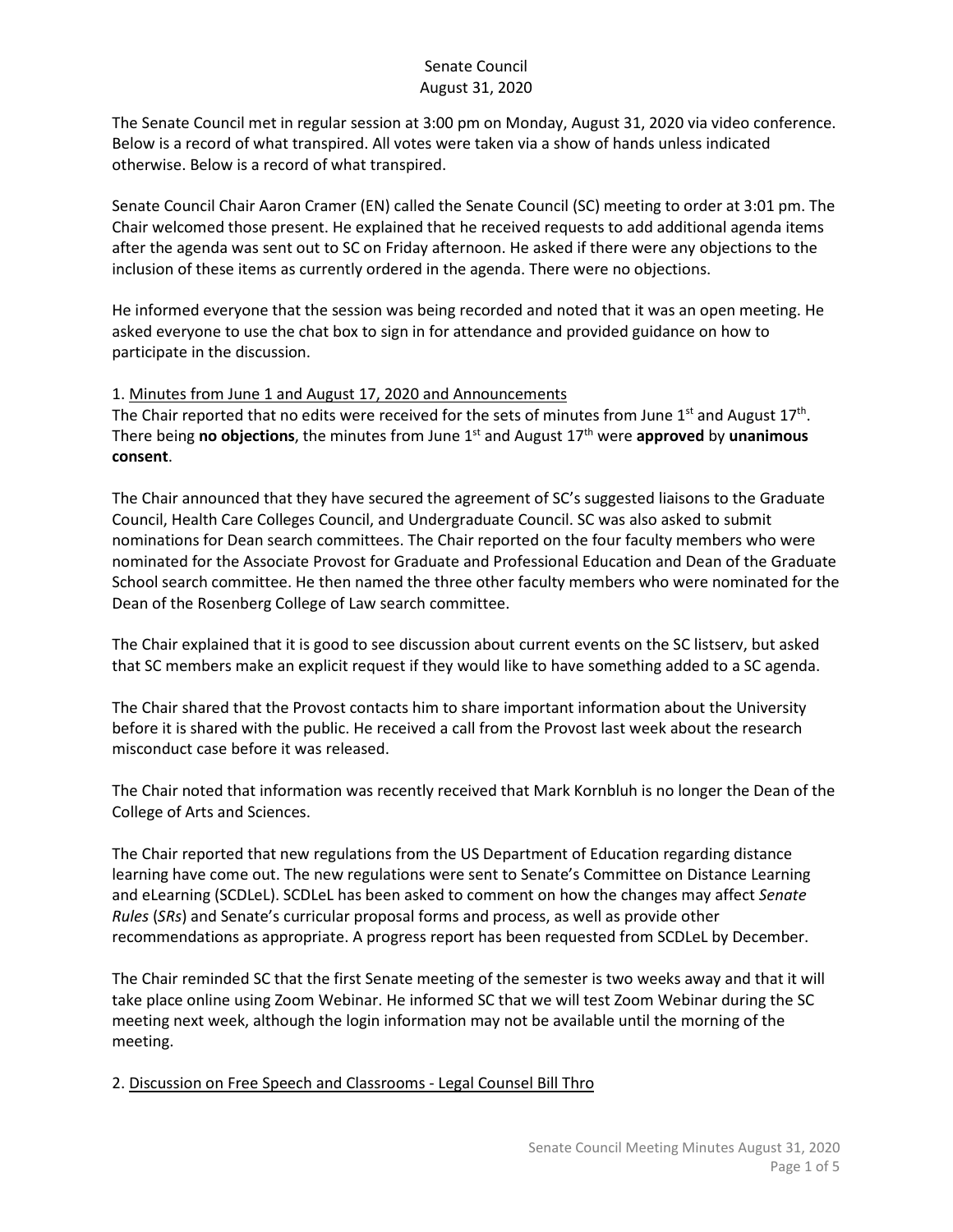The Senate Council met in regular session at 3:00 pm on Monday, August 31, 2020 via video conference. Below is a record of what transpired. All votes were taken via a show of hands unless indicated otherwise. Below is a record of what transpired.

Senate Council Chair Aaron Cramer (EN) called the Senate Council (SC) meeting to order at 3:01 pm. The Chair welcomed those present. He explained that he received requests to add additional agenda items after the agenda was sent out to SC on Friday afternoon. He asked if there were any objections to the inclusion of these items as currently ordered in the agenda. There were no objections.

He informed everyone that the session was being recorded and noted that it was an open meeting. He asked everyone to use the chat box to sign in for attendance and provided guidance on how to participate in the discussion.

#### 1. Minutes from June 1 and August 17, 2020 and Announcements

The Chair reported that no edits were received for the sets of minutes from June 1<sup>st</sup> and August 17<sup>th</sup>. There being **no objections**, the minutes from June 1<sup>st</sup> and August 17<sup>th</sup> were approved by unanimous **consent**.

The Chair announced that they have secured the agreement of SC's suggested liaisons to the Graduate Council, Health Care Colleges Council, and Undergraduate Council. SC was also asked to submit nominations for Dean search committees. The Chair reported on the four faculty members who were nominated for the Associate Provost for Graduate and Professional Education and Dean of the Graduate School search committee. He then named the three other faculty members who were nominated for the Dean of the Rosenberg College of Law search committee.

The Chair explained that it is good to see discussion about current events on the SC listserv, but asked that SC members make an explicit request if they would like to have something added to a SC agenda.

The Chair shared that the Provost contacts him to share important information about the University before it is shared with the public. He received a call from the Provost last week about the research misconduct case before it was released.

The Chair noted that information was recently received that Mark Kornbluh is no longer the Dean of the College of Arts and Sciences.

The Chair reported that new regulations from the US Department of Education regarding distance learning have come out. The new regulations were sent to Senate's Committee on Distance Learning and eLearning (SCDLeL). SCDLeL has been asked to comment on how the changes may affect *Senate Rules* (*SRs*) and Senate's curricular proposal forms and process, as well as provide other recommendations as appropriate. A progress report has been requested from SCDLeL by December.

The Chair reminded SC that the first Senate meeting of the semester is two weeks away and that it will take place online using Zoom Webinar. He informed SC that we will test Zoom Webinar during the SC meeting next week, although the login information may not be available until the morning of the meeting.

#### 2. Discussion on Free Speech and Classrooms - Legal Counsel Bill Thro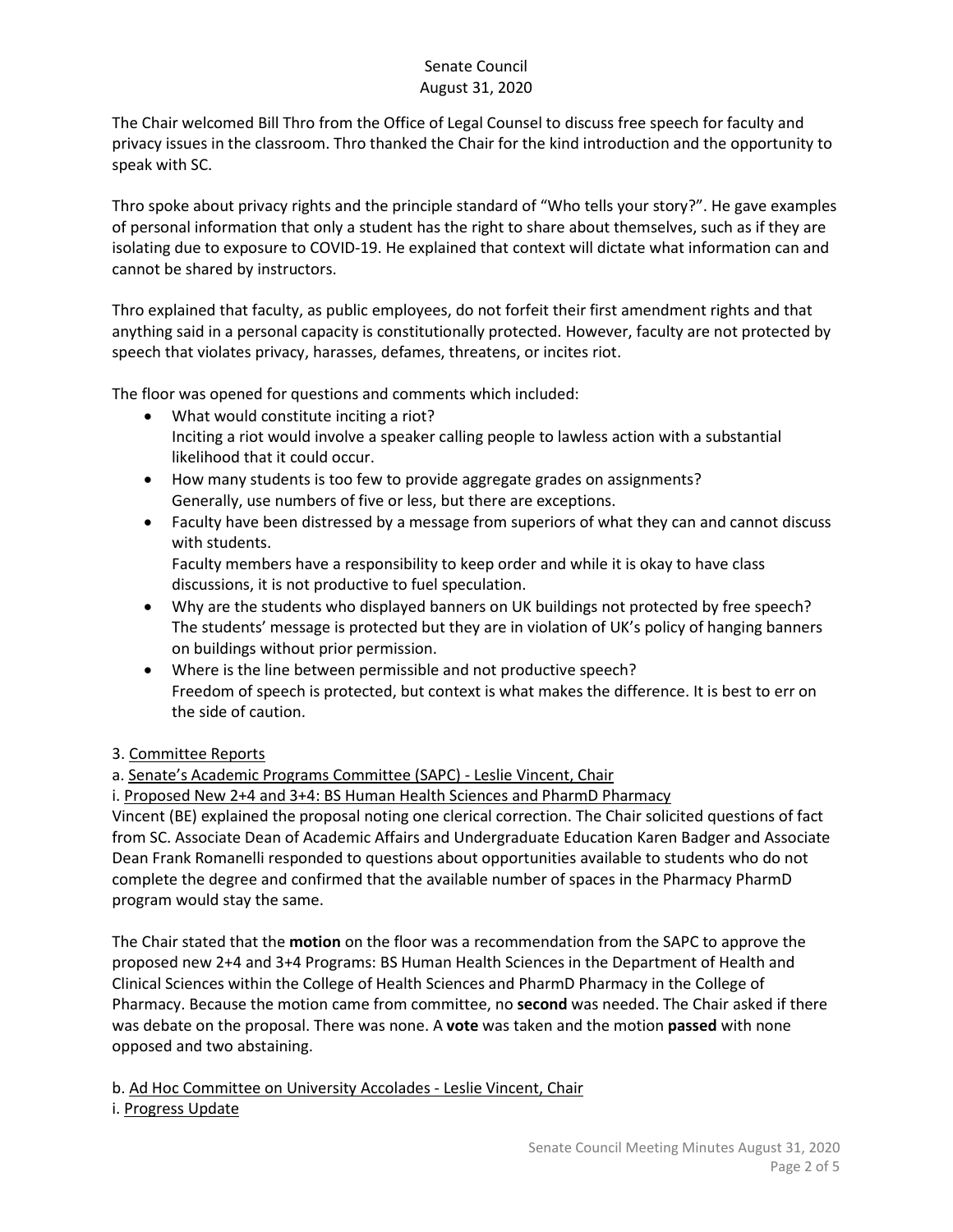The Chair welcomed Bill Thro from the Office of Legal Counsel to discuss free speech for faculty and privacy issues in the classroom. Thro thanked the Chair for the kind introduction and the opportunity to speak with SC.

Thro spoke about privacy rights and the principle standard of "Who tells your story?". He gave examples of personal information that only a student has the right to share about themselves, such as if they are isolating due to exposure to COVID-19. He explained that context will dictate what information can and cannot be shared by instructors.

Thro explained that faculty, as public employees, do not forfeit their first amendment rights and that anything said in a personal capacity is constitutionally protected. However, faculty are not protected by speech that violates privacy, harasses, defames, threatens, or incites riot.

The floor was opened for questions and comments which included:

- What would constitute inciting a riot? Inciting a riot would involve a speaker calling people to lawless action with a substantial likelihood that it could occur.
- How many students is too few to provide aggregate grades on assignments? Generally, use numbers of five or less, but there are exceptions.
- Faculty have been distressed by a message from superiors of what they can and cannot discuss with students. Faculty members have a responsibility to keep order and while it is okay to have class
	- discussions, it is not productive to fuel speculation.
- Why are the students who displayed banners on UK buildings not protected by free speech? The students' message is protected but they are in violation of UK's policy of hanging banners on buildings without prior permission.
- Where is the line between permissible and not productive speech? Freedom of speech is protected, but context is what makes the difference. It is best to err on the side of caution.

## 3. Committee Reports

a. Senate's Academic Programs Committee (SAPC) - Leslie Vincent, Chair

i. Proposed New 2+4 and 3+4: BS Human Health Sciences and PharmD Pharmacy

Vincent (BE) explained the proposal noting one clerical correction. The Chair solicited questions of fact from SC. Associate Dean of Academic Affairs and Undergraduate Education Karen Badger and Associate Dean Frank Romanelli responded to questions about opportunities available to students who do not complete the degree and confirmed that the available number of spaces in the Pharmacy PharmD program would stay the same.

The Chair stated that the **motion** on the floor was a recommendation from the SAPC to approve the proposed new 2+4 and 3+4 Programs: BS Human Health Sciences in the Department of Health and Clinical Sciences within the College of Health Sciences and PharmD Pharmacy in the College of Pharmacy. Because the motion came from committee, no **second** was needed. The Chair asked if there was debate on the proposal. There was none. A **vote** was taken and the motion **passed** with none opposed and two abstaining.

# b. Ad Hoc Committee on University Accolades - Leslie Vincent, Chair

## i. Progress Update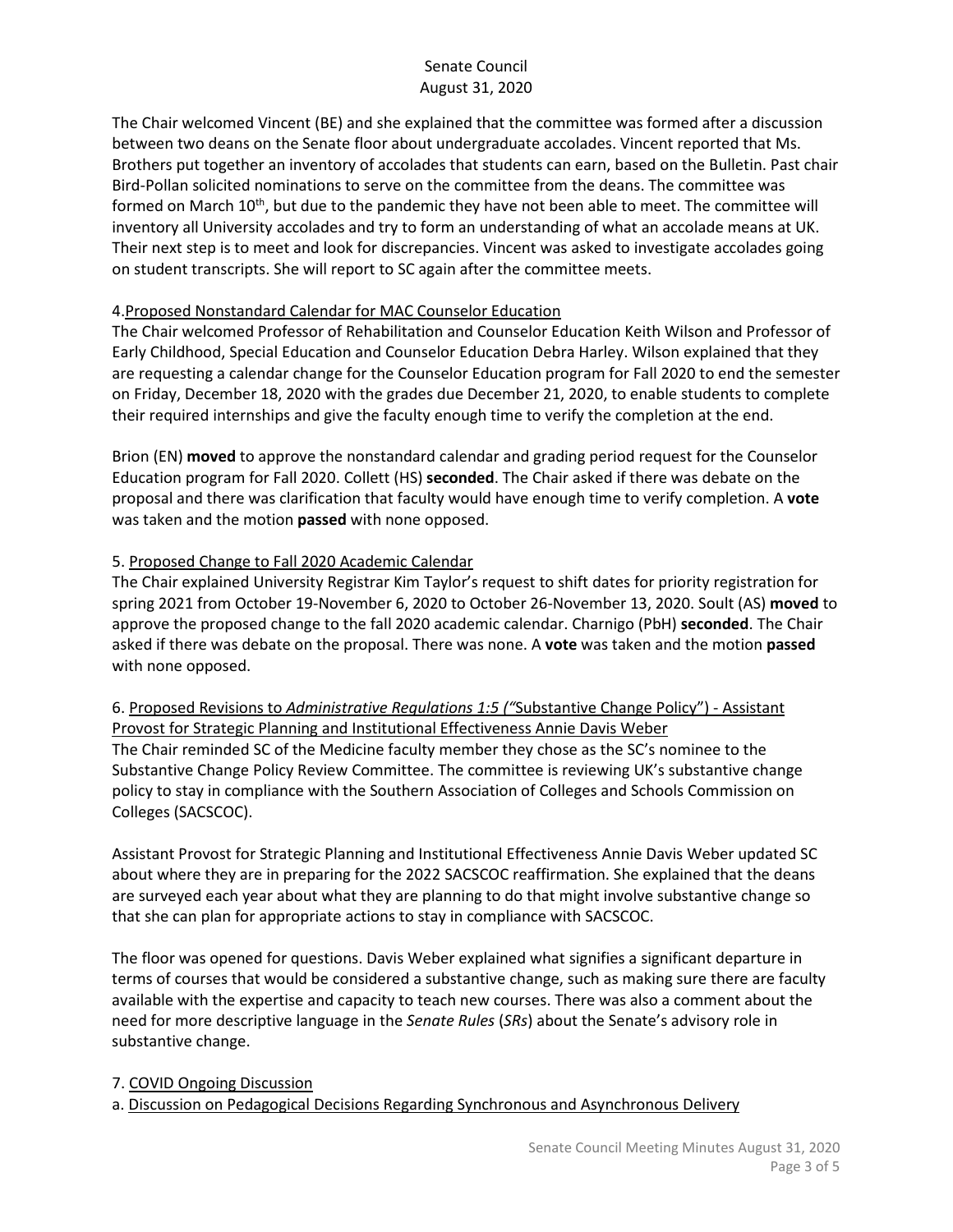The Chair welcomed Vincent (BE) and she explained that the committee was formed after a discussion between two deans on the Senate floor about undergraduate accolades. Vincent reported that Ms. Brothers put together an inventory of accolades that students can earn, based on the Bulletin. Past chair Bird-Pollan solicited nominations to serve on the committee from the deans. The committee was formed on March 10<sup>th</sup>, but due to the pandemic they have not been able to meet. The committee will inventory all University accolades and try to form an understanding of what an accolade means at UK. Their next step is to meet and look for discrepancies. Vincent was asked to investigate accolades going on student transcripts. She will report to SC again after the committee meets.

## 4.Proposed Nonstandard Calendar for MAC Counselor Education

The Chair welcomed Professor of Rehabilitation and Counselor Education Keith Wilson and Professor of Early Childhood, Special Education and Counselor Education Debra Harley. Wilson explained that they are requesting a calendar change for the Counselor Education program for Fall 2020 to end the semester on Friday, December 18, 2020 with the grades due December 21, 2020, to enable students to complete their required internships and give the faculty enough time to verify the completion at the end.

Brion (EN) **moved** to approve the nonstandard calendar and grading period request for the Counselor Education program for Fall 2020. Collett (HS) **seconded**. The Chair asked if there was debate on the proposal and there was clarification that faculty would have enough time to verify completion. A **vote** was taken and the motion **passed** with none opposed.

#### 5. Proposed Change to Fall 2020 Academic Calendar

The Chair explained University Registrar Kim Taylor's request to shift dates for priority registration for spring 2021 from October 19-November 6, 2020 to October 26-November 13, 2020. Soult (AS) **moved** to approve the proposed change to the fall 2020 academic calendar. Charnigo (PbH) **seconded**. The Chair asked if there was debate on the proposal. There was none. A **vote** was taken and the motion **passed** with none opposed.

# 6. Proposed Revisions to *Administrative Regulations 1:5 ("*Substantive Change Policy") - Assistant Provost for Strategic Planning and Institutional Effectiveness Annie Davis Weber

The Chair reminded SC of the Medicine faculty member they chose as the SC's nominee to the Substantive Change Policy Review Committee. The committee is reviewing UK's substantive change policy to stay in compliance with the Southern Association of Colleges and Schools Commission on Colleges (SACSCOC).

Assistant Provost for Strategic Planning and Institutional Effectiveness Annie Davis Weber updated SC about where they are in preparing for the 2022 SACSCOC reaffirmation. She explained that the deans are surveyed each year about what they are planning to do that might involve substantive change so that she can plan for appropriate actions to stay in compliance with SACSCOC.

The floor was opened for questions. Davis Weber explained what signifies a significant departure in terms of courses that would be considered a substantive change, such as making sure there are faculty available with the expertise and capacity to teach new courses. There was also a comment about the need for more descriptive language in the *Senate Rules* (*SRs*) about the Senate's advisory role in substantive change.

#### 7. COVID Ongoing Discussion

a. Discussion on Pedagogical Decisions Regarding Synchronous and Asynchronous Delivery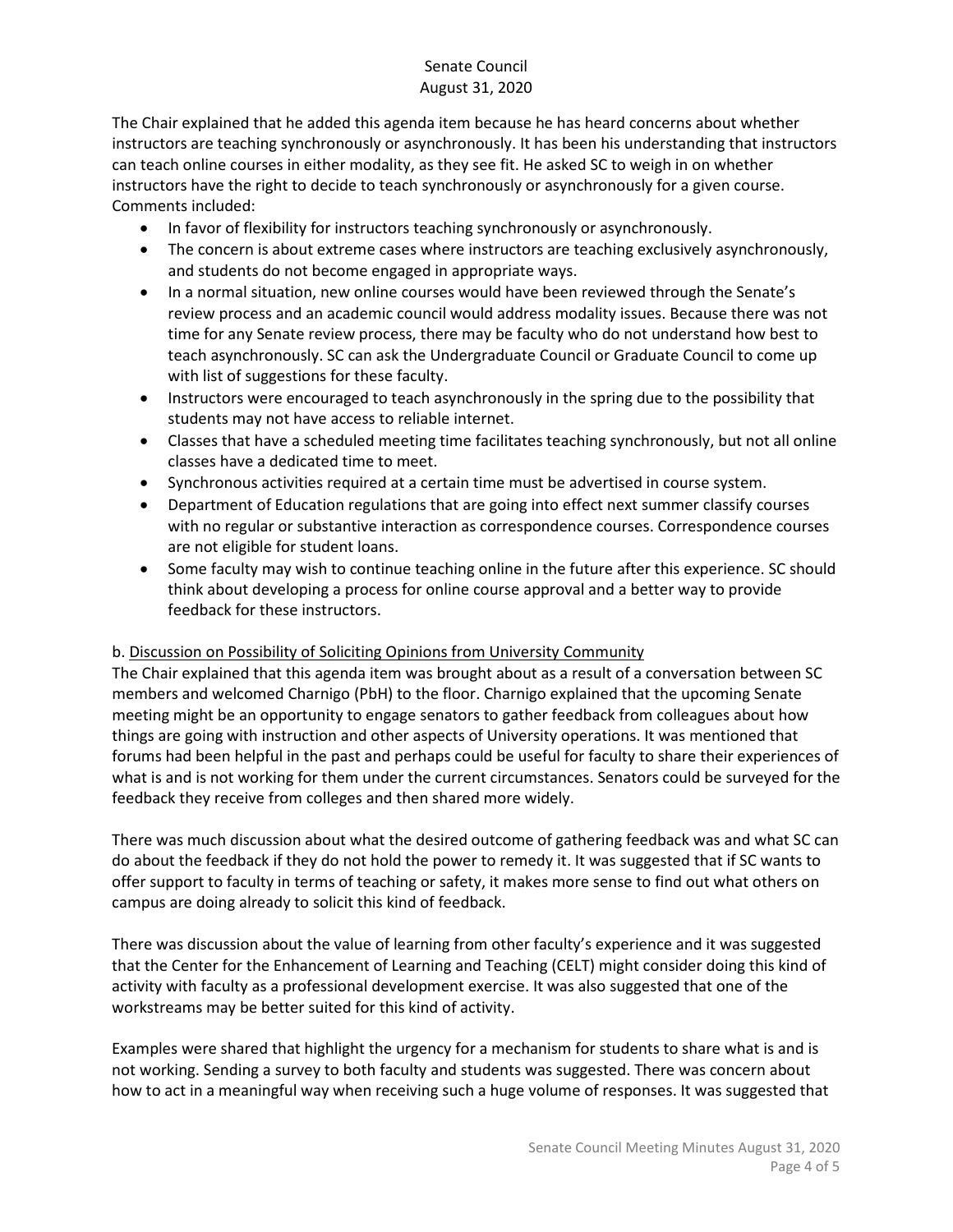The Chair explained that he added this agenda item because he has heard concerns about whether instructors are teaching synchronously or asynchronously. It has been his understanding that instructors can teach online courses in either modality, as they see fit. He asked SC to weigh in on whether instructors have the right to decide to teach synchronously or asynchronously for a given course. Comments included:

- In favor of flexibility for instructors teaching synchronously or asynchronously.
- The concern is about extreme cases where instructors are teaching exclusively asynchronously, and students do not become engaged in appropriate ways.
- In a normal situation, new online courses would have been reviewed through the Senate's review process and an academic council would address modality issues. Because there was not time for any Senate review process, there may be faculty who do not understand how best to teach asynchronously. SC can ask the Undergraduate Council or Graduate Council to come up with list of suggestions for these faculty.
- Instructors were encouraged to teach asynchronously in the spring due to the possibility that students may not have access to reliable internet.
- Classes that have a scheduled meeting time facilitates teaching synchronously, but not all online classes have a dedicated time to meet.
- Synchronous activities required at a certain time must be advertised in course system.
- Department of Education regulations that are going into effect next summer classify courses with no regular or substantive interaction as correspondence courses. Correspondence courses are not eligible for student loans.
- Some faculty may wish to continue teaching online in the future after this experience. SC should think about developing a process for online course approval and a better way to provide feedback for these instructors.

## b. Discussion on Possibility of Soliciting Opinions from University Community

The Chair explained that this agenda item was brought about as a result of a conversation between SC members and welcomed Charnigo (PbH) to the floor. Charnigo explained that the upcoming Senate meeting might be an opportunity to engage senators to gather feedback from colleagues about how things are going with instruction and other aspects of University operations. It was mentioned that forums had been helpful in the past and perhaps could be useful for faculty to share their experiences of what is and is not working for them under the current circumstances. Senators could be surveyed for the feedback they receive from colleges and then shared more widely.

There was much discussion about what the desired outcome of gathering feedback was and what SC can do about the feedback if they do not hold the power to remedy it. It was suggested that if SC wants to offer support to faculty in terms of teaching or safety, it makes more sense to find out what others on campus are doing already to solicit this kind of feedback.

There was discussion about the value of learning from other faculty's experience and it was suggested that the Center for the Enhancement of Learning and Teaching (CELT) might consider doing this kind of activity with faculty as a professional development exercise. It was also suggested that one of the workstreams may be better suited for this kind of activity.

Examples were shared that highlight the urgency for a mechanism for students to share what is and is not working. Sending a survey to both faculty and students was suggested. There was concern about how to act in a meaningful way when receiving such a huge volume of responses. It was suggested that